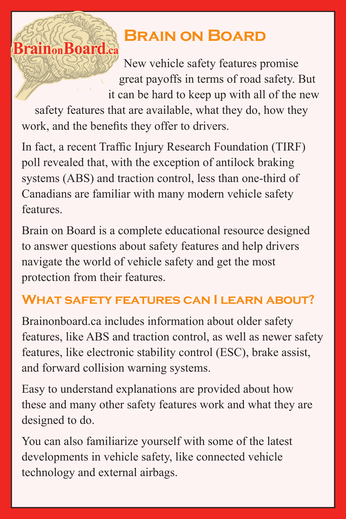## **Brain on Board**

New vehicle safety features promise great payoffs in terms of road safety. But it can be hard to keep up with all of the new

safety features that are available, what they do, how they work, and the benefits they offer to drivers.

**BrainonBoard.ca** 

In fact, a recent Traffic Injury Research Foundation (TIRF) poll revealed that, with the exception of antilock braking systems (ABS) and traction control, less than one-third of Canadians are familiar with many modern vehicle safety features.

Brain on Board is a complete educational resource designed to answer questions about safety features and help drivers navigate the world of vehicle safety and get the most protection from their features.

## **WHAT SAFFTY FEATURES CAN I LEARN ABOUT?**

Brainonboard.ca includes information about older safety features, like ABS and traction control, as well as newer safety features, like electronic stability control (ESC), brake assist, and forward collision warning systems.

Easy to understand explanations are provided about how these and many other safety features work and what they are designed to do.

You can also familiarize yourself with some of the latest developments in vehicle safety, like connected vehicle technology and external airbags.